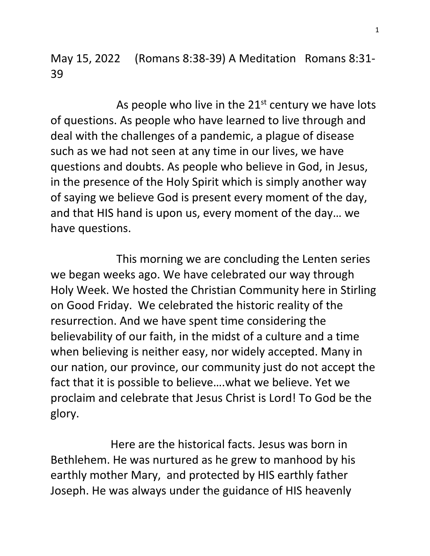May 15, 2022 (Romans 8:38-39) A Meditation Romans 8:31- 39

As people who live in the  $21<sup>st</sup>$  century we have lots of questions. As people who have learned to live through and deal with the challenges of a pandemic, a plague of disease such as we had not seen at any time in our lives, we have questions and doubts. As people who believe in God, in Jesus, in the presence of the Holy Spirit which is simply another way of saying we believe God is present every moment of the day, and that HIS hand is upon us, every moment of the day… we have questions.

 This morning we are concluding the Lenten series we began weeks ago. We have celebrated our way through Holy Week. We hosted the Christian Community here in Stirling on Good Friday. We celebrated the historic reality of the resurrection. And we have spent time considering the believability of our faith, in the midst of a culture and a time when believing is neither easy, nor widely accepted. Many in our nation, our province, our community just do not accept the fact that it is possible to believe….what we believe. Yet we proclaim and celebrate that Jesus Christ is Lord! To God be the glory.

 Here are the historical facts. Jesus was born in Bethlehem. He was nurtured as he grew to manhood by his earthly mother Mary, and protected by HIS earthly father Joseph. He was always under the guidance of HIS heavenly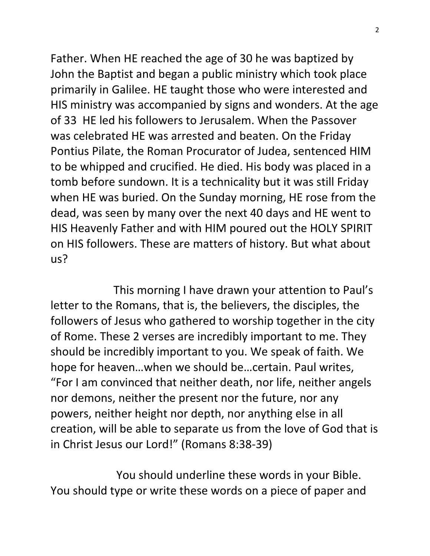Father. When HE reached the age of 30 he was baptized by John the Baptist and began a public ministry which took place primarily in Galilee. HE taught those who were interested and HIS ministry was accompanied by signs and wonders. At the age of 33 HE led his followers to Jerusalem. When the Passover was celebrated HE was arrested and beaten. On the Friday Pontius Pilate, the Roman Procurator of Judea, sentenced HIM to be whipped and crucified. He died. His body was placed in a tomb before sundown. It is a technicality but it was still Friday when HE was buried. On the Sunday morning, HE rose from the dead, was seen by many over the next 40 days and HE went to HIS Heavenly Father and with HIM poured out the HOLY SPIRIT on HIS followers. These are matters of history. But what about us?

 This morning I have drawn your attention to Paul's letter to the Romans, that is, the believers, the disciples, the followers of Jesus who gathered to worship together in the city of Rome. These 2 verses are incredibly important to me. They should be incredibly important to you. We speak of faith. We hope for heaven…when we should be…certain. Paul writes, "For I am convinced that neither death, nor life, neither angels nor demons, neither the present nor the future, nor any powers, neither height nor depth, nor anything else in all creation, will be able to separate us from the love of God that is in Christ Jesus our Lord!" (Romans 8:38-39)

 You should underline these words in your Bible. You should type or write these words on a piece of paper and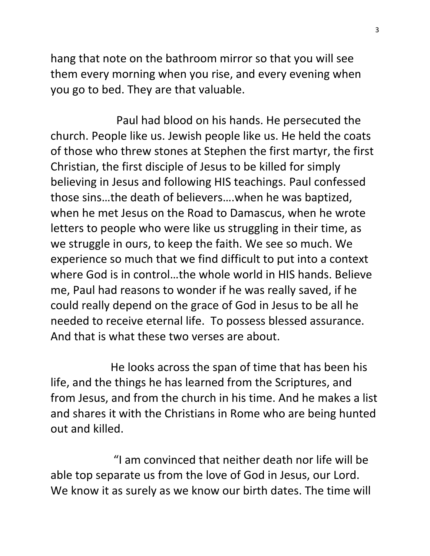hang that note on the bathroom mirror so that you will see them every morning when you rise, and every evening when you go to bed. They are that valuable.

 Paul had blood on his hands. He persecuted the church. People like us. Jewish people like us. He held the coats of those who threw stones at Stephen the first martyr, the first Christian, the first disciple of Jesus to be killed for simply believing in Jesus and following HIS teachings. Paul confessed those sins…the death of believers….when he was baptized, when he met Jesus on the Road to Damascus, when he wrote letters to people who were like us struggling in their time, as we struggle in ours, to keep the faith. We see so much. We experience so much that we find difficult to put into a context where God is in control…the whole world in HIS hands. Believe me, Paul had reasons to wonder if he was really saved, if he could really depend on the grace of God in Jesus to be all he needed to receive eternal life. To possess blessed assurance. And that is what these two verses are about.

 He looks across the span of time that has been his life, and the things he has learned from the Scriptures, and from Jesus, and from the church in his time. And he makes a list and shares it with the Christians in Rome who are being hunted out and killed.

 "I am convinced that neither death nor life will be able top separate us from the love of God in Jesus, our Lord. We know it as surely as we know our birth dates. The time will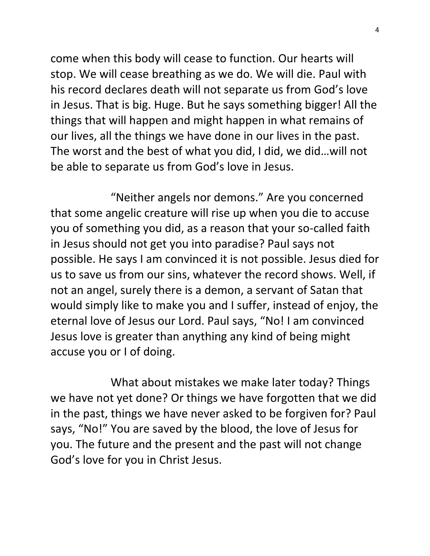come when this body will cease to function. Our hearts will stop. We will cease breathing as we do. We will die. Paul with his record declares death will not separate us from God's love in Jesus. That is big. Huge. But he says something bigger! All the things that will happen and might happen in what remains of our lives, all the things we have done in our lives in the past. The worst and the best of what you did, I did, we did…will not be able to separate us from God's love in Jesus.

 "Neither angels nor demons." Are you concerned that some angelic creature will rise up when you die to accuse you of something you did, as a reason that your so-called faith in Jesus should not get you into paradise? Paul says not possible. He says I am convinced it is not possible. Jesus died for us to save us from our sins, whatever the record shows. Well, if not an angel, surely there is a demon, a servant of Satan that would simply like to make you and I suffer, instead of enjoy, the eternal love of Jesus our Lord. Paul says, "No! I am convinced Jesus love is greater than anything any kind of being might accuse you or I of doing.

 What about mistakes we make later today? Things we have not yet done? Or things we have forgotten that we did in the past, things we have never asked to be forgiven for? Paul says, "No!" You are saved by the blood, the love of Jesus for you. The future and the present and the past will not change God's love for you in Christ Jesus.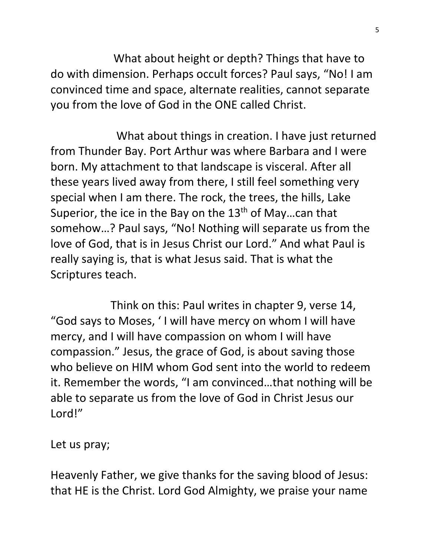What about height or depth? Things that have to do with dimension. Perhaps occult forces? Paul says, "No! I am convinced time and space, alternate realities, cannot separate you from the love of God in the ONE called Christ.

 What about things in creation. I have just returned from Thunder Bay. Port Arthur was where Barbara and I were born. My attachment to that landscape is visceral. After all these years lived away from there, I still feel something very special when I am there. The rock, the trees, the hills, Lake Superior, the ice in the Bay on the  $13<sup>th</sup>$  of May...can that somehow…? Paul says, "No! Nothing will separate us from the love of God, that is in Jesus Christ our Lord." And what Paul is really saying is, that is what Jesus said. That is what the Scriptures teach.

 Think on this: Paul writes in chapter 9, verse 14, "God says to Moses, ' I will have mercy on whom I will have mercy, and I will have compassion on whom I will have compassion." Jesus, the grace of God, is about saving those who believe on HIM whom God sent into the world to redeem it. Remember the words, "I am convinced…that nothing will be able to separate us from the love of God in Christ Jesus our Lord!"

Let us pray;

Heavenly Father, we give thanks for the saving blood of Jesus: that HE is the Christ. Lord God Almighty, we praise your name